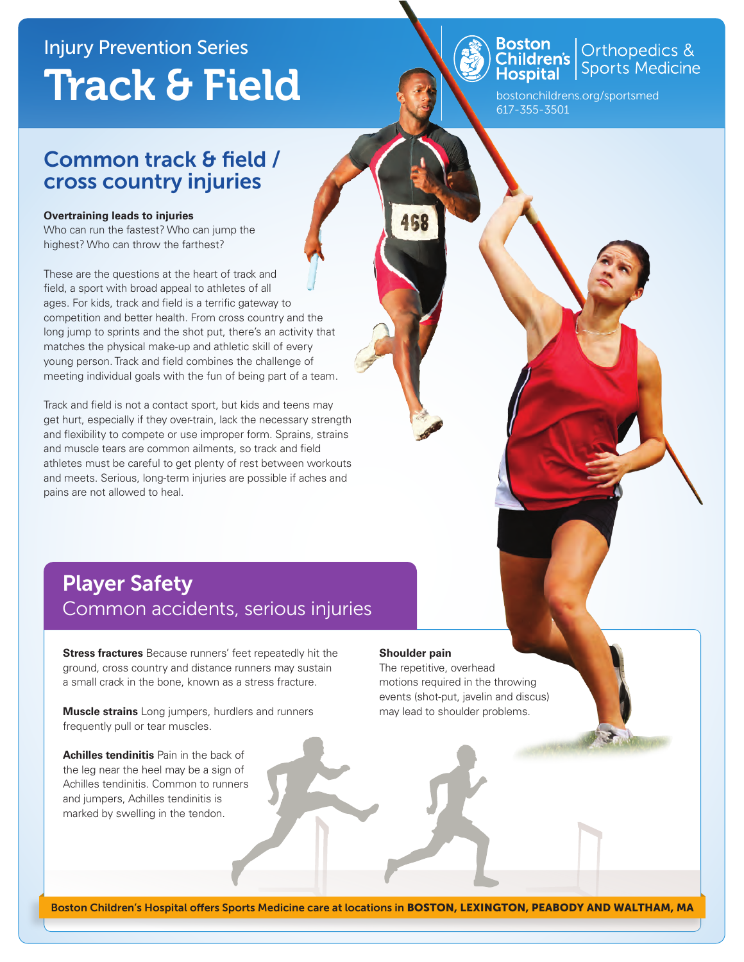# Injury Prevention Series Track & Field

### Common track & field / cross country injuries

#### **Overtraining leads to injuries**

Who can run the fastest? Who can jump the highest? Who can throw the farthest?

These are the questions at the heart of track and field, a sport with broad appeal to athletes of all ages. For kids, track and field is a terrific gateway to competition and better health. From cross country and the long jump to sprints and the shot put, there's an activity that matches the physical make-up and athletic skill of every young person. Track and field combines the challenge of meeting individual goals with the fun of being part of a team.

Track and field is not a contact sport, but kids and teens may get hurt, especially if they over-train, lack the necessary strength and flexibility to compete or use improper form. Sprains, strains and muscle tears are common ailments, so track and field athletes must be careful to get plenty of rest between workouts and meets. Serious, long-term injuries are possible if aches and pains are not allowed to heal.

### Player Safety Common accidents, serious injuries

**Stress fractures** Because runners' feet repeatedly hit the ground, cross country and distance runners may sustain a small crack in the bone, known as a stress fracture.

**Muscle strains** Long jumpers, hurdlers and runners frequently pull or tear muscles.

**Achilles tendinitis** Pain in the back of the leg near the heel may be a sign of Achilles tendinitis. Common to runners and jumpers, Achilles tendinitis is marked by swelling in the tendon.

#### **Shoulder pain**

The repetitive, overhead motions required in the throwing events (shot-put, javelin and discus) may lead to shoulder problems.



bostonchildrens.org/sportsmed 617-355-3501

Orthopedics &<br>Sports Medicine Boston<br>Children's **Hospital**